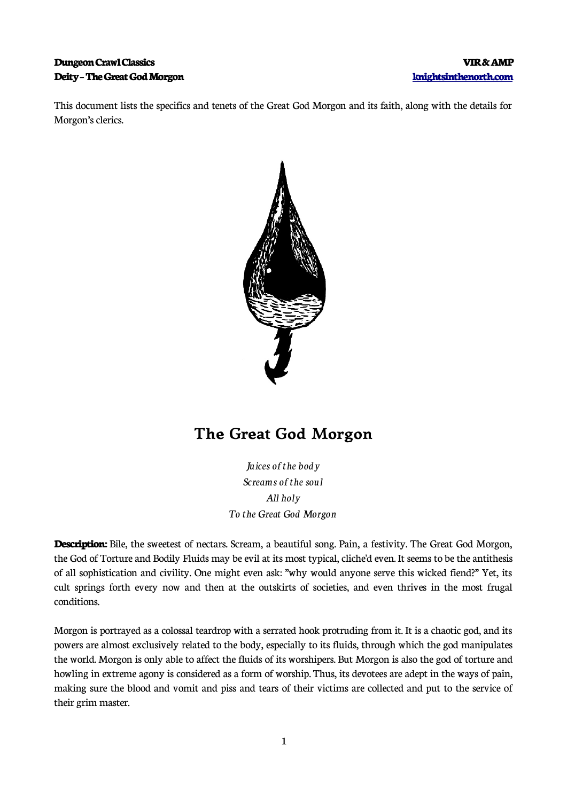### **Dungeon Crawl Classics Williams and Security Control of the Crawl Classics Wire and Security Control of the Crawl Classics Deity – The Great God Morgon [knightsinthenorth.com](http://knightsinthenorth.com/)**

This document lists the specifics and tenets of the Great God Morgon and its faith, along with the details for Morgon's clerics.



# **The Great God Morgon**

*Juices of the body Screams of the soul All holy To the Great God Morgon*

**Description:** Bile, the sweetest of nectars. Scream, a beautiful song. Pain, a festivity. The Great God Morgon, the God of Torture and Bodily Fluids may be evil at its most typical, cliche'd even. It seems to be the antithesis of all sophistication and civility. One might even ask: "why would anyone serve this wicked fiend?" Yet, its cult springs forth every now and then at the outskirts of societies, and even thrives in the most frugal conditions.

Morgon is portrayed as a colossal teardrop with a serrated hook protruding from it. It is a chaotic god, and its powers are almost exclusively related to the body, especially to its fluids, through which the god manipulates the world. Morgon is only able to affect the fluids of its worshipers. But Morgon is also the god of torture and howling in extreme agony is considered as a form of worship. Thus, its devotees are adept in the ways of pain, making sure the blood and vomit and piss and tears of their victims are collected and put to the service of their grim master.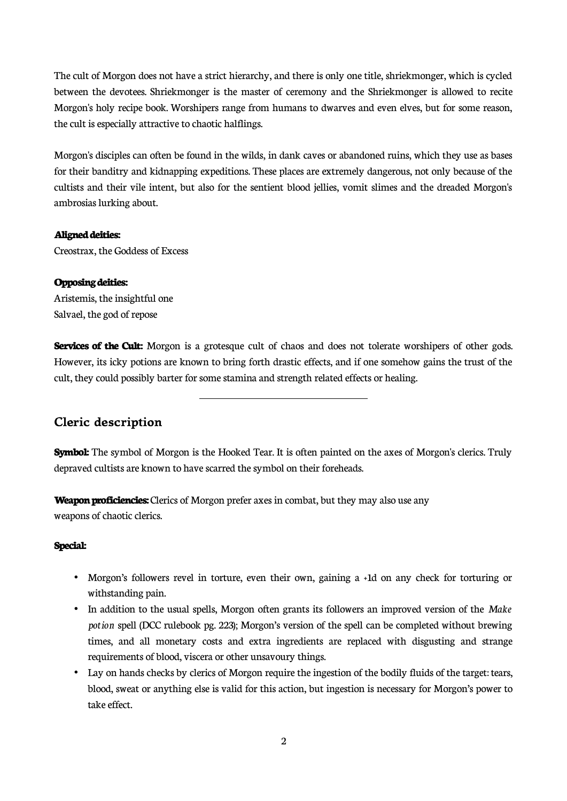The cult of Morgon does not have a strict hierarchy, and there is only one title, shriekmonger, which is cycled between the devotees. Shriekmonger is the master of ceremony and the Shriekmonger is allowed to recite Morgon's holy recipe book. Worshipers range from humans to dwarves and even elves, but for some reason, the cult is especially attractive to chaotic halflings.

Morgon's disciples can often be found in the wilds, in dank caves or abandoned ruins, which they use as bases for their banditry and kidnapping expeditions. These places are extremely dangerous, not only because of the cultists and their vile intent, but also for the sentient blood jellies, vomit slimes and the dreaded Morgon's ambrosias lurking about.

#### **Aligned deities:**

Creostrax, the Goddess of Excess

#### **Opposing deities:**

Aristemis, the insightful one Salvael, the god of repose

**Services of the Cult:** Morgon is a grotesque cult of chaos and does not tolerate worshipers of other gods. However, its icky potions are known to bring forth drastic effects, and if one somehow gains the trust of the cult, they could possibly barter for some stamina and strength related effects or healing.

## **Cleric description**

**Symbol:** The symbol of Morgon is the Hooked Tear. It is often painted on the axes of Morgon's clerics. Truly depraved cultists are known to have scarred the symbol on their foreheads.

**Weapon proficiencies:** Clerics of Morgon prefer axes in combat, but they may also use any weapons of chaotic clerics.

 $\overline{a}$ 

#### **Special:**

- Morgon's followers revel in torture, even their own, gaining a +1d on any check for torturing or withstanding pain.
- In addition to the usual spells, Morgon often grants its followers an improved version of the *Make potion* spell (DCC rulebook pg. 223); Morgon's version of the spell can be completed without brewing times, and all monetary costs and extra ingredients are replaced with disgusting and strange requirements of blood, viscera or other unsavoury things.
- Lay on hands checks by clerics of Morgon require the ingestion of the bodily fluids of the target: tears, blood, sweat or anything else is valid for this action, but ingestion is necessary for Morgon's power to take effect.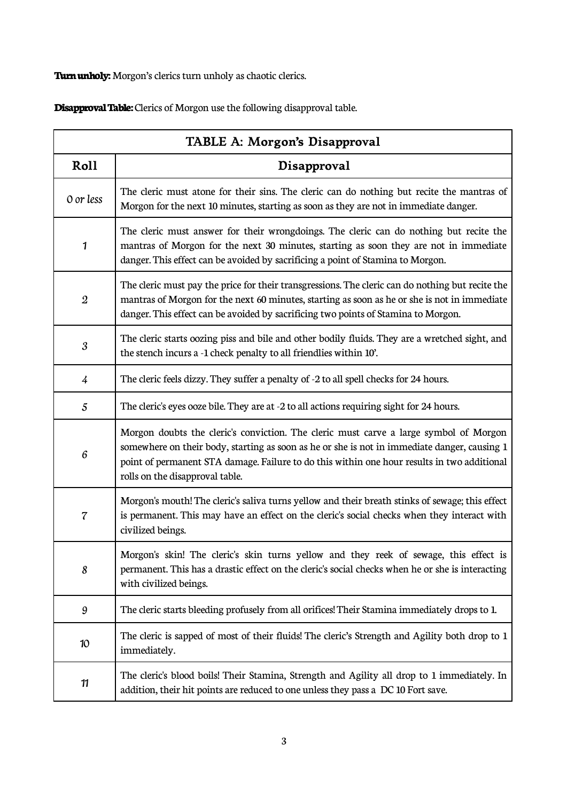**Turn unholy:** Morgon's clerics turn unholy as chaotic clerics.

**Disapproval Table:** Clerics of Morgon use the following disapproval table.

| TABLE A: Morgon's Disapproval |                                                                                                                                                                                                                                                                                                                         |  |
|-------------------------------|-------------------------------------------------------------------------------------------------------------------------------------------------------------------------------------------------------------------------------------------------------------------------------------------------------------------------|--|
| Roll                          | Disapproval                                                                                                                                                                                                                                                                                                             |  |
| 0 or less                     | The cleric must atone for their sins. The cleric can do nothing but recite the mantras of<br>Morgon for the next 10 minutes, starting as soon as they are not in immediate danger.                                                                                                                                      |  |
| 1                             | The cleric must answer for their wrongdoings. The cleric can do nothing but recite the<br>mantras of Morgon for the next 30 minutes, starting as soon they are not in immediate<br>danger. This effect can be avoided by sacrificing a point of Stamina to Morgon.                                                      |  |
| $\boldsymbol{2}$              | The cleric must pay the price for their transgressions. The cleric can do nothing but recite the<br>mantras of Morgon for the next 60 minutes, starting as soon as he or she is not in immediate<br>danger. This effect can be avoided by sacrificing two points of Stamina to Morgon.                                  |  |
| 3                             | The cleric starts oozing piss and bile and other bodily fluids. They are a wretched sight, and<br>the stench incurs a -1 check penalty to all friendlies within 10'.                                                                                                                                                    |  |
| 4                             | The cleric feels dizzy. They suffer a penalty of -2 to all spell checks for 24 hours.                                                                                                                                                                                                                                   |  |
| $\sqrt{5}$                    | The cleric's eyes ooze bile. They are at -2 to all actions requiring sight for 24 hours.                                                                                                                                                                                                                                |  |
| 6                             | Morgon doubts the cleric's conviction. The cleric must carve a large symbol of Morgon<br>somewhere on their body, starting as soon as he or she is not in immediate danger, causing 1<br>point of permanent STA damage. Failure to do this within one hour results in two additional<br>rolls on the disapproval table. |  |
| 7                             | Morgon's mouth! The cleric's saliva turns yellow and their breath stinks of sewage; this effect<br>is permanent. This may have an effect on the cleric's social checks when they interact with<br>civilized beings.                                                                                                     |  |
| 8                             | Morgon's skin! The cleric's skin turns yellow and they reek of sewage, this effect is<br>permanent. This has a drastic effect on the cleric's social checks when he or she is interacting<br>with civilized beings.                                                                                                     |  |
| 9                             | The cleric starts bleeding profusely from all orifices! Their Stamina immediately drops to 1.                                                                                                                                                                                                                           |  |
| 10                            | The cleric is sapped of most of their fluids! The cleric's Strength and Agility both drop to 1<br>immediately.                                                                                                                                                                                                          |  |
| 11                            | The cleric's blood boils! Their Stamina, Strength and Agility all drop to 1 immediately. In<br>addition, their hit points are reduced to one unless they pass a DC 10 Fort save.                                                                                                                                        |  |